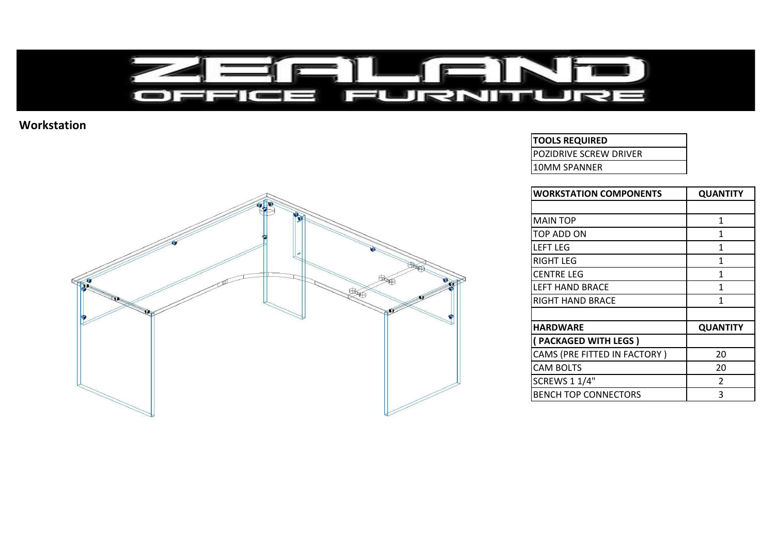

## **Workstation**



## **TOOLS REQUIRED**

POZIDRIVE SCREW DRIVER

10MM SPANNER

| <b>WORKSTATION COMPONENTS</b> | <b>QUANTITY</b> |
|-------------------------------|-----------------|
|                               |                 |
| <b>MAIN TOP</b>               | $\mathbf{1}$    |
| TOP ADD ON                    | 1               |
| <b>LEFT LEG</b>               | 1               |
| RIGHT LEG                     | 1               |
| <b>CENTRE LEG</b>             | 1               |
| <b>LEFT HAND BRACE</b>        | 1               |
| RIGHT HAND BRACE              | 1               |
|                               |                 |
| <b>HARDWARE</b>               | <b>QUANTITY</b> |
| (PACKAGED WITH LEGS)          |                 |
| CAMS (PRE FITTED IN FACTORY)  | 20              |
| <b>CAM BOLTS</b>              | 20              |
| <b>SCREWS 1 1/4"</b>          | $\mathcal{P}$   |
| <b>BENCH TOP CONNECTORS</b>   | 3               |